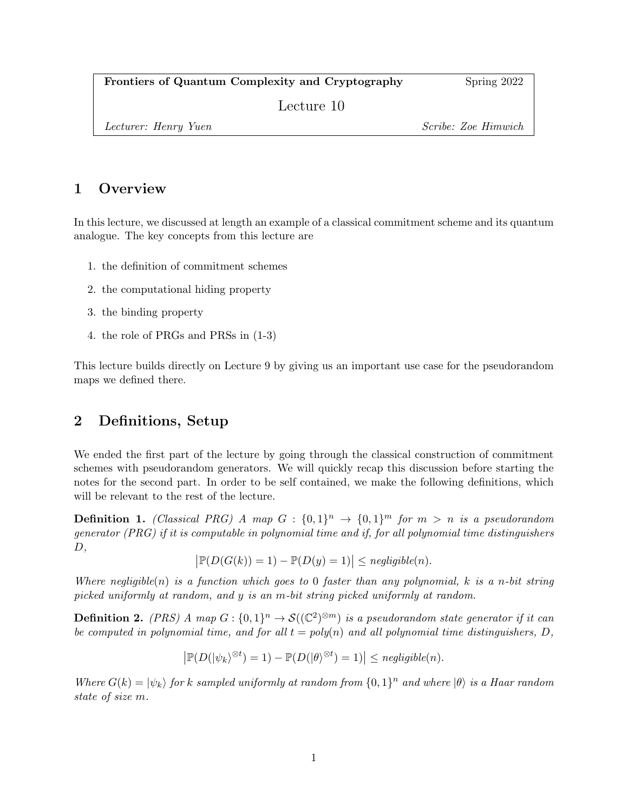Frontiers of Quantum Complexity and Cryptography Spring 2022

Lecture 10

Lecturer: Henry Yuen Scribe: Zoe Himwich

## 1 Overview

In this lecture, we discussed at length an example of a classical commitment scheme and its quantum analogue. The key concepts from this lecture are

- 1. the definition of commitment schemes
- 2. the computational hiding property
- 3. the binding property
- 4. the role of PRGs and PRSs in (1-3)

This lecture builds directly on Lecture 9 by giving us an important use case for the pseudorandom maps we defined there.

# 2 Definitions, Setup

We ended the first part of the lecture by going through the classical construction of commitment schemes with pseudorandom generators. We will quickly recap this discussion before starting the notes for the second part. In order to be self contained, we make the following definitions, which will be relevant to the rest of the lecture.

**Definition 1.** (Classical PRG) A map  $G : \{0,1\}^n \rightarrow \{0,1\}^m$  for  $m > n$  is a pseudorandom generator (PRG) if it is computable in polynomial time and if, for all polynomial time distinguishers  $D,$ 

$$
\big|\mathbb{P}(D(G(k))=1) - \mathbb{P}(D(y)=1)\big| \leq \mathit{negligible}(n).
$$

Where negligible(n) is a function which goes to 0 faster than any polynomial, k is a n-bit string picked uniformly at random, and y is an m-bit string picked uniformly at random.

<span id="page-0-0"></span>**Definition 2.** (PRS) A map  $G: \{0,1\}^n \to \mathcal{S}((\mathbb{C}^2)^{\otimes m})$  is a pseudorandom state generator if it can be computed in polynomial time, and for all  $t = poly(n)$  and all polynomial time distinguishers, D,

$$
\left|\mathbb{P}(D(|\psi_k|^{\otimes t})=1)-\mathbb{P}(D(|\theta|^{\otimes t})=1)\right|\leq negligible(n).
$$

Where  $G(k) = |\psi_k\rangle$  for k sampled uniformly at random from  $\{0,1\}^n$  and where  $|\theta\rangle$  is a Haar random state of size m.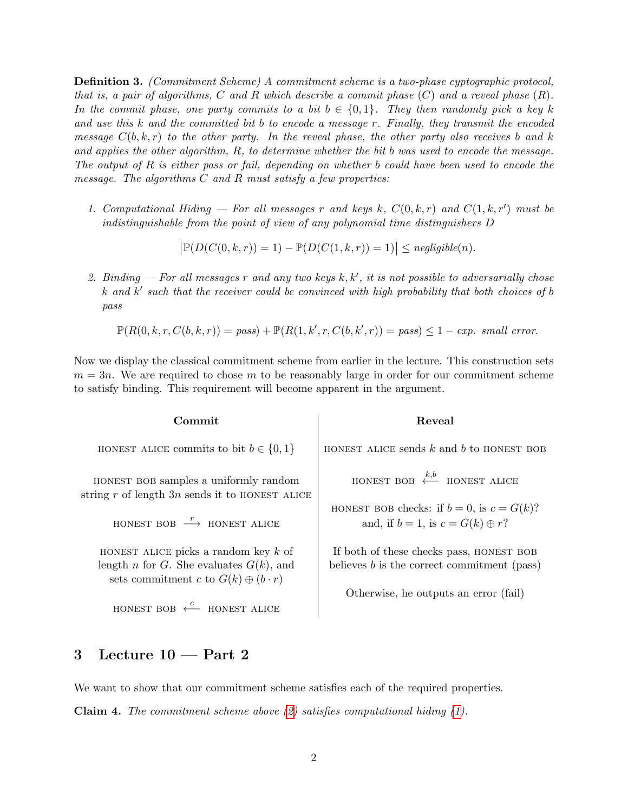Definition 3. (Commitment Scheme) A commitment scheme is a two-phase cyptographic protocol, that is, a pair of algorithms, C and R which describe a commit phase  $(C)$  and a reveal phase  $(R)$ . In the commit phase, one party commits to a bit  $b \in \{0,1\}$ . They then randomly pick a key k and use this  $k$  and the committed bit b to encode a message r. Finally, they transmit the encoded message  $C(b, k, r)$  to the other party. In the reveal phase, the other party also receives b and k and applies the other algorithm, R, to determine whether the bit b was used to encode the message. The output of R is either pass or fail, depending on whether b could have been used to encode the message. The algorithms  $C$  and  $R$  must satisfy a few properties:

<span id="page-1-1"></span>1. Computational Hiding  $-$  For all messages r and keys k,  $C(0, k, r)$  and  $C(1, k, r')$  must be indistinguishable from the point of view of any polynomial time distinguishers D

 $\left| \mathbb{P}(D(C(0, k, r)) = 1) - \mathbb{P}(D(C(1, k, r)) = 1) \right| \leq negligible(n).$ 

<span id="page-1-0"></span>2. Binding – For all messages r and any two keys  $k, k'$ , it is not possible to adversarially chose  $k$  and  $k'$  such that the receiver could be convinced with high probability that both choices of b pass

 $\mathbb{P}(R(0, k, r, C(b, k, r)) = pass) + \mathbb{P}(R(1, k', r, C(b, k', r)) = pass) \leq 1 - exp. \; small \; error.$ 

Now we display the classical commitment scheme from earlier in the lecture. This construction sets  $m = 3n$ . We are required to chose m to be reasonably large in order for our commitment scheme to satisfy binding. This requirement will become apparent in the argument.

| Commit                                                                                                                                 | Reveal                                                                                        |
|----------------------------------------------------------------------------------------------------------------------------------------|-----------------------------------------------------------------------------------------------|
| HONEST ALICE commits to bit $b \in \{0, 1\}$                                                                                           | HONEST ALICE sends $k$ and $b$ to HONEST BOB                                                  |
| HONEST BOB samples a uniformly random<br>string r of length $3n$ sends it to HONEST ALICE                                              | HONEST BOB $\xleftarrow{k,b}$ HONEST ALICE                                                    |
| HONEST BOB $\stackrel{r}{\longrightarrow}$ HONEST ALICE                                                                                | HONEST BOB checks: if $b = 0$ , is $c = G(k)$ ?<br>and, if $b = 1$ , is $c = G(k) \oplus r$ ? |
| HONEST ALICE picks a random key $k$ of<br>length n for G. She evaluates $G(k)$ , and<br>sets commitment c to $G(k) \oplus (b \cdot r)$ | If both of these checks pass, HONEST BOB<br>believes $b$ is the correct commitment (pass)     |
| HONEST BOB $\leftarrow^c$ HONEST ALICE                                                                                                 | Otherwise, he outputs an error (fail)                                                         |

### 3 Lecture 10 — Part 2

We want to show that our commitment scheme satisfies each of the required properties. **Claim 4.** The commitment scheme above  $(2)$  satisfies computational hiding  $(1)$ .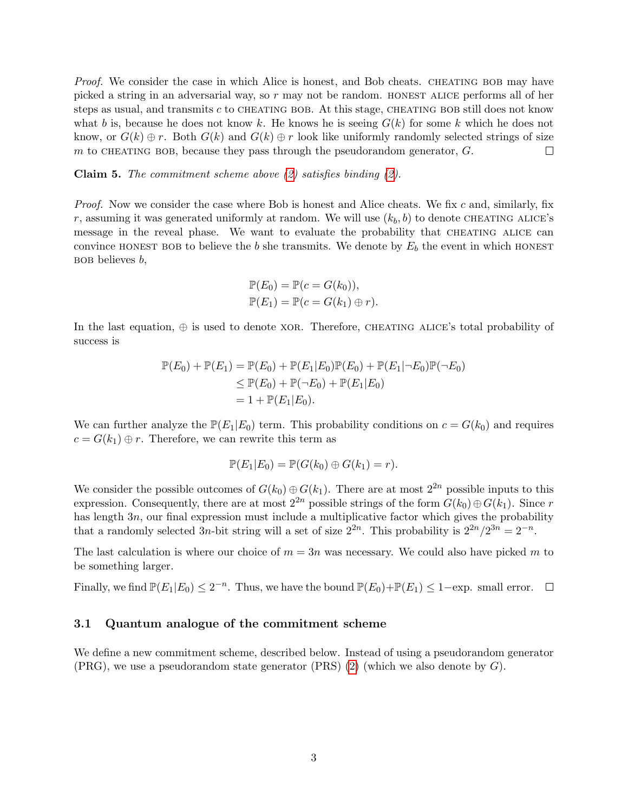Proof. We consider the case in which Alice is honest, and Bob cheats. CHEATING BOB may have picked a string in an adversarial way, so  $r$  may not be random. HONEST ALICE performs all of her steps as usual, and transmits  $c$  to CHEATING BOB. At this stage, CHEATING BOB still does not know what b is, because he does not know k. He knows he is seeing  $G(k)$  for some k which he does not know, or  $G(k) \oplus r$ . Both  $G(k)$  and  $G(k) \oplus r$  look like uniformly randomly selected strings of size m to CHEATING BOB, because they pass through the pseudorandom generator,  $G$ .  $\Box$ 

**Claim 5.** The commitment scheme above  $(2)$  satisfies binding  $(2)$ .

*Proof.* Now we consider the case where Bob is honest and Alice cheats. We fix c and, similarly, fix r, assuming it was generated uniformly at random. We will use  $(k_b, b)$  to denote CHEATING ALICE's message in the reveal phase. We want to evaluate the probability that CHEATING ALICE can convince HONEST BOB to believe the b she transmits. We denote by  $E_b$  the event in which HONEST  $BOB$  believes  $b$ ,

$$
\mathbb{P}(E_0) = \mathbb{P}(c = G(k_0)),
$$
  

$$
\mathbb{P}(E_1) = \mathbb{P}(c = G(k_1) \oplus r).
$$

In the last equation,  $\oplus$  is used to denote XOR. Therefore, CHEATING ALICE's total probability of success is

$$
\mathbb{P}(E_0) + \mathbb{P}(E_1) = \mathbb{P}(E_0) + \mathbb{P}(E_1|E_0)\mathbb{P}(E_0) + \mathbb{P}(E_1|\neg E_0)\mathbb{P}(\neg E_0)
$$
  
\n
$$
\leq \mathbb{P}(E_0) + \mathbb{P}(\neg E_0) + \mathbb{P}(E_1|E_0)
$$
  
\n
$$
= 1 + \mathbb{P}(E_1|E_0).
$$

We can further analyze the  $\mathbb{P}(E_1|E_0)$  term. This probability conditions on  $c = G(k_0)$  and requires  $c = G(k_1) \oplus r$ . Therefore, we can rewrite this term as

$$
\mathbb{P}(E_1|E_0)=\mathbb{P}(G(k_0)\oplus G(k_1)=r).
$$

We consider the possible outcomes of  $G(k_0) \oplus G(k_1)$ . There are at most  $2^{2n}$  possible inputs to this expression. Consequently, there are at most  $2^{2n}$  possible strings of the form  $G(k_0) \oplus G(k_1)$ . Since r has length 3n, our final expression must include a multiplicative factor which gives the probability that a randomly selected 3n-bit string will a set of size  $2^{2n}$ . This probability is  $2^{2n}/2^{3n} = 2^{-n}$ .

The last calculation is where our choice of  $m = 3n$  was necessary. We could also have picked m to be something larger.

Finally, we find  $\mathbb{P}(E_1|E_0) \leq 2^{-n}$ . Thus, we have the bound  $\mathbb{P}(E_0)+\mathbb{P}(E_1) \leq 1-\exp$ . small error.

#### <span id="page-2-0"></span>3.1 Quantum analogue of the commitment scheme

We define a new commitment scheme, described below. Instead of using a pseudorandom generator  $(PRG)$ , we use a pseudorandom state generator  $(PRS)$  [\(2\)](#page-0-0) (which we also denote by  $G$ ).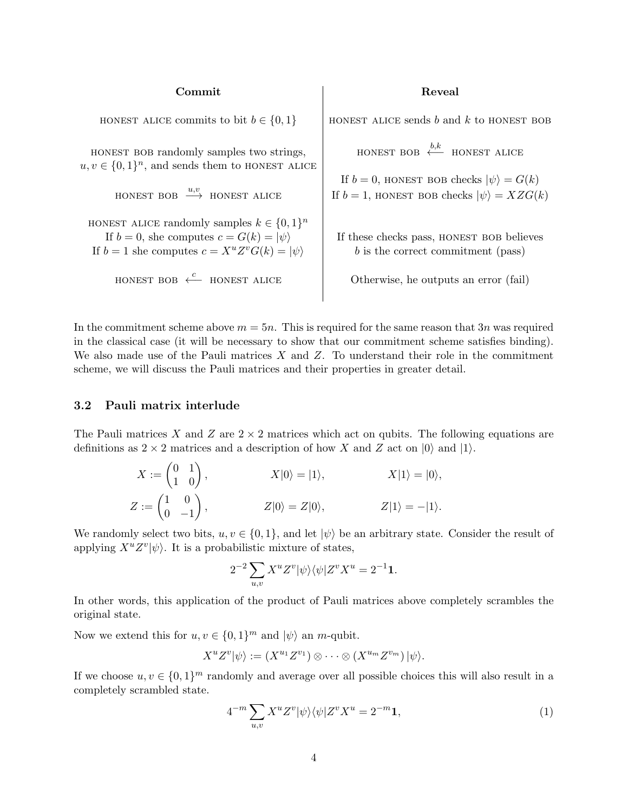| Commit                                                                                                                                                              | Reveal                                                                                                         |
|---------------------------------------------------------------------------------------------------------------------------------------------------------------------|----------------------------------------------------------------------------------------------------------------|
| HONEST ALICE commits to bit $b \in \{0, 1\}$                                                                                                                        | HONEST ALICE sends $b$ and $k$ to HONEST BOB                                                                   |
| HONEST BOB randomly samples two strings,<br>$u, v \in \{0,1\}^n$ , and sends them to HONEST ALICE                                                                   | HONEST BOB $\xleftarrow{b,k}$ HONEST ALICE                                                                     |
| HONEST BOB $\xrightarrow{u,v}$ HONEST ALICE                                                                                                                         | If $b = 0$ , HONEST BOB checks $ \psi\rangle = G(k)$<br>If $b = 1$ , HONEST BOB checks $ \psi\rangle = XZG(k)$ |
| HONEST ALICE randomly samples $k \in \{0,1\}^n$<br>If $b = 0$ , she computes $c = G(k) =  \psi\rangle$<br>If $b = 1$ she computes $c = X^u Z^v G(k) =  \psi\rangle$ | If these checks pass, HONEST BOB believes<br>$b$ is the correct commitment (pass)                              |
| HONEST BOB $\leftarrow^c$ HONEST ALICE                                                                                                                              | Otherwise, he outputs an error (fail)                                                                          |
|                                                                                                                                                                     |                                                                                                                |

In the commitment scheme above  $m = 5n$ . This is required for the same reason that 3n was required in the classical case (it will be necessary to show that our commitment scheme satisfies binding). We also made use of the Pauli matrices  $X$  and  $Z$ . To understand their role in the commitment scheme, we will discuss the Pauli matrices and their properties in greater detail.

#### 3.2 Pauli matrix interlude

The Pauli matrices X and Z are  $2 \times 2$  matrices which act on qubits. The following equations are definitions as  $2 \times 2$  matrices and a description of how X and Z act on  $|0\rangle$  and  $|1\rangle$ .

$$
X := \begin{pmatrix} 0 & 1 \\ 1 & 0 \end{pmatrix}, \qquad X|0\rangle = |1\rangle, \qquad X|1\rangle = |0\rangle,
$$
  

$$
Z := \begin{pmatrix} 1 & 0 \\ 0 & -1 \end{pmatrix}, \qquad Z|0\rangle = Z|0\rangle, \qquad Z|1\rangle = -|1\rangle.
$$

We randomly select two bits,  $u, v \in \{0, 1\}$ , and let  $|\psi\rangle$  be an arbitrary state. Consider the result of applying  $X^u Z^v |\psi\rangle$ . It is a probabilistic mixture of states,

$$
2^{-2}\sum_{u,v}X^uZ^v|\psi\rangle\langle\psi|Z^vX^u=2^{-1}{\bf 1}.
$$

In other words, this application of the product of Pauli matrices above completely scrambles the original state.

Now we extend this for  $u, v \in \{0, 1\}^m$  and  $|\psi\rangle$  an *m*-qubit.

$$
X^u Z^v |\psi\rangle := (X^{u_1} Z^{v_1}) \otimes \cdots \otimes (X^{u_m} Z^{v_m}) |\psi\rangle.
$$

If we choose  $u, v \in \{0, 1\}^m$  randomly and average over all possible choices this will also result in a completely scrambled state.

<span id="page-3-0"></span>
$$
4^{-m} \sum_{u,v} X^u Z^v |\psi\rangle\langle\psi| Z^v X^u = 2^{-m} \mathbf{1},\tag{1}
$$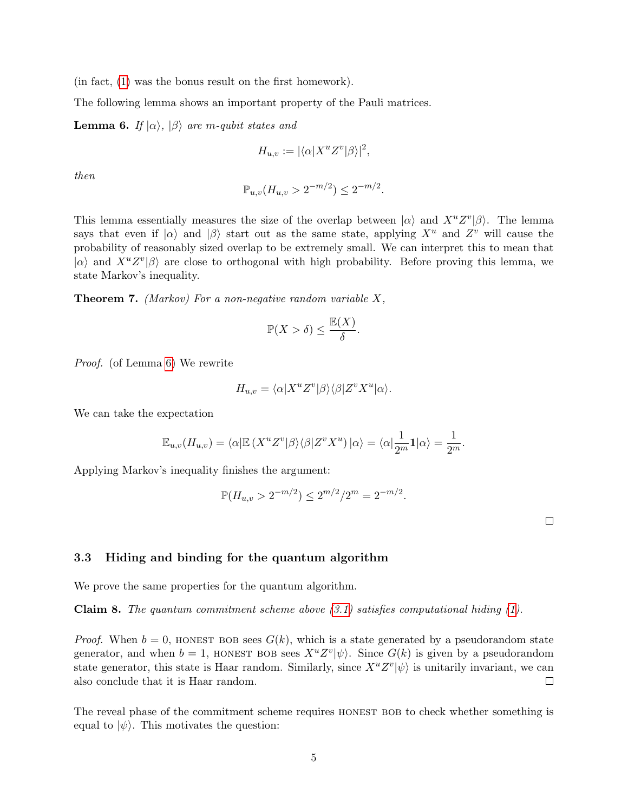(in fact, [\(1\)](#page-3-0) was the bonus result on the first homework).

The following lemma shows an important property of the Pauli matrices.

<span id="page-4-0"></span>**Lemma 6.** If  $|\alpha\rangle$ ,  $|\beta\rangle$  are m-qubit states and

$$
H_{u,v} := |\langle \alpha | X^u Z^v | \beta \rangle|^2,
$$

then

$$
\mathbb{P}_{u,v}(H_{u,v} > 2^{-m/2}) \leq 2^{-m/2}.
$$

This lemma essentially measures the size of the overlap between  $|\alpha\rangle$  and  $X^u Z^v |\beta\rangle$ . The lemma says that even if  $|\alpha\rangle$  and  $|\beta\rangle$  start out as the same state, applying  $X^u$  and  $Z^v$  will cause the probability of reasonably sized overlap to be extremely small. We can interpret this to mean that  $|\alpha\rangle$  and  $X^u Z^v |\beta\rangle$  are close to orthogonal with high probability. Before proving this lemma, we state Markov's inequality.

**Theorem 7.** (Markov) For a non-negative random variable  $X$ ,

$$
\mathbb{P}(X > \delta) \le \frac{\mathbb{E}(X)}{\delta}.
$$

Proof. (of Lemma [6\)](#page-4-0) We rewrite

$$
H_{u,v} = \langle \alpha | X^u Z^v | \beta \rangle \langle \beta | Z^v X^u | \alpha \rangle.
$$

We can take the expectation

$$
\mathbb{E}_{u,v}(H_{u,v}) = \langle \alpha | \mathbb{E} \left( X^u Z^v | \beta \rangle \langle \beta | Z^v X^u \right) | \alpha \rangle = \langle \alpha | \frac{1}{2^m} \mathbf{1} | \alpha \rangle = \frac{1}{2^m}.
$$

Applying Markov's inequality finishes the argument:

$$
\mathbb{P}(H_{u,v} > 2^{-m/2}) \le 2^{m/2}/2^m = 2^{-m/2}.
$$

 $\Box$ 

#### 3.3 Hiding and binding for the quantum algorithm

We prove the same properties for the quantum algorithm.

**Claim 8.** The quantum commitment scheme above  $(3.1)$  satisfies computational hiding  $(1)$ .

*Proof.* When  $b = 0$ , HONEST BOB sees  $G(k)$ , which is a state generated by a pseudorandom state generator, and when  $b = 1$ , HONEST BOB sees  $X^u Z^v |\psi\rangle$ . Since  $G(k)$  is given by a pseudorandom state generator, this state is Haar random. Similarly, since  $X^u Z^v |\psi\rangle$  is unitarily invariant, we can also conclude that it is Haar random.  $\Box$ 

The reveal phase of the commitment scheme requires HONEST BOB to check whether something is equal to  $|\psi\rangle$ . This motivates the question: